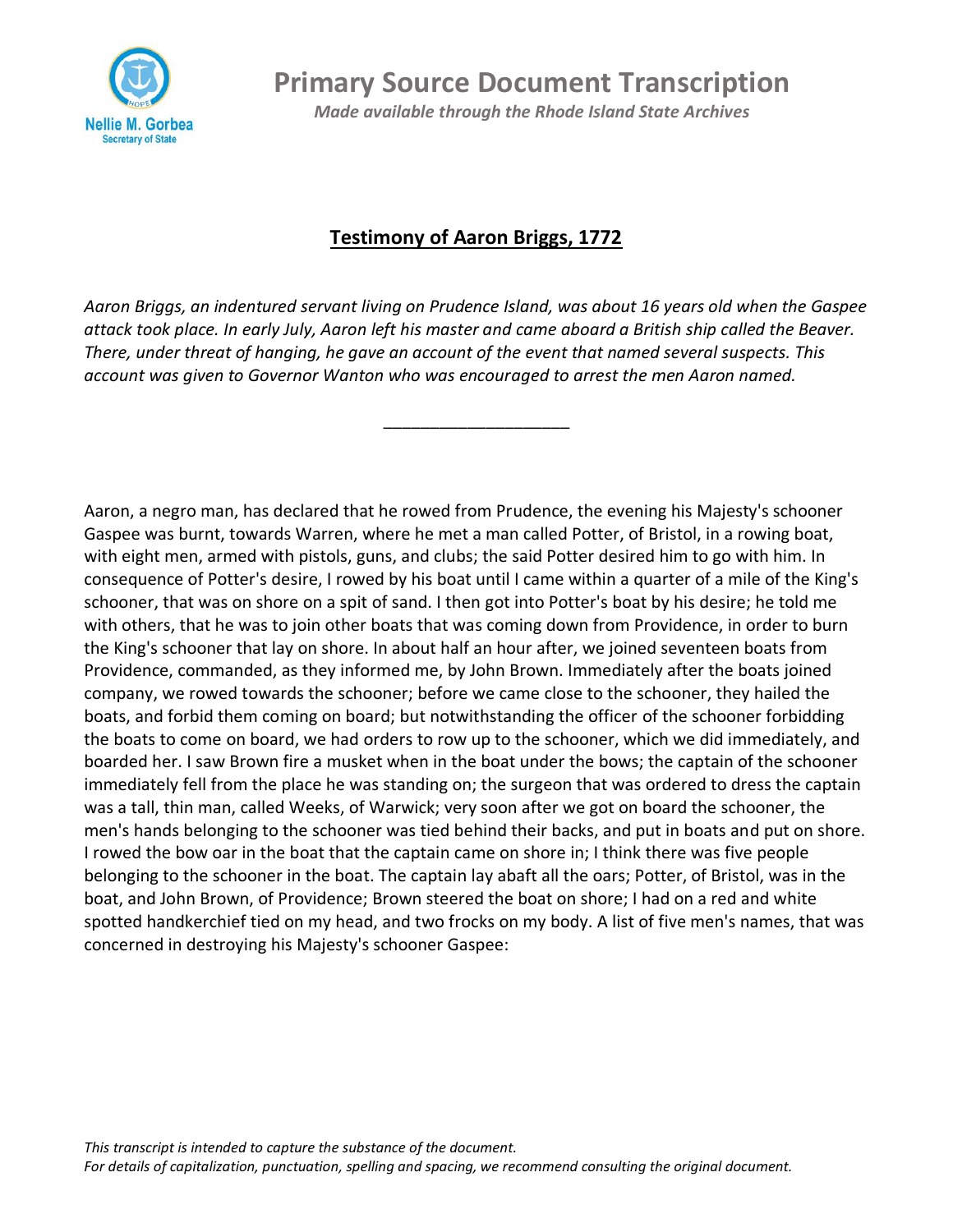

**Primary Source Document Transcription**

*Made available through the Rhode Island State Archives*

## **Testimony of Aaron Briggs, 1772**

*Aaron Briggs, an indentured servant living on Prudence Island, was about 16 years old when the Gaspee attack took place. In early July, Aaron left his master and came aboard a British ship called the Beaver. There, under threat of hanging, he gave an account of the event that named several suspects. This account was given to Governor Wanton who was encouraged to arrest the men Aaron named.* 

\_\_\_\_\_\_\_\_\_\_\_\_\_\_\_\_\_\_\_\_

Aaron, a negro man, has declared that he rowed from Prudence, the evening his Majesty's schooner Gaspee was burnt, towards Warren, where he met a man called Potter, of Bristol, in a rowing boat, with eight men, armed with pistols, guns, and clubs; the said Potter desired him to go with him. In consequence of Potter's desire, I rowed by his boat until I came within a quarter of a mile of the King's schooner, that was on shore on a spit of sand. I then got into Potter's boat by his desire; he told me with others, that he was to join other boats that was coming down from Providence, in order to burn the King's schooner that lay on shore. In about half an hour after, we joined seventeen boats from Providence, commanded, as they informed me, by John Brown. Immediately after the boats joined company, we rowed towards the schooner; before we came close to the schooner, they hailed the boats, and forbid them coming on board; but notwithstanding the officer of the schooner forbidding the boats to come on board, we had orders to row up to the schooner, which we did immediately, and boarded her. I saw Brown fire a musket when in the boat under the bows; the captain of the schooner immediately fell from the place he was standing on; the surgeon that was ordered to dress the captain was a tall, thin man, called Weeks, of Warwick; very soon after we got on board the schooner, the men's hands belonging to the schooner was tied behind their backs, and put in boats and put on shore. I rowed the bow oar in the boat that the captain came on shore in; I think there was five people belonging to the schooner in the boat. The captain lay abaft all the oars; Potter, of Bristol, was in the boat, and John Brown, of Providence; Brown steered the boat on shore; I had on a red and white spotted handkerchief tied on my head, and two frocks on my body. A list of five men's names, that was concerned in destroying his Majesty's schooner Gaspee: